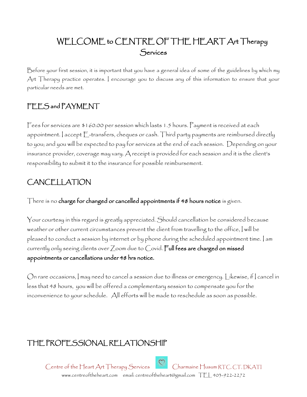# WELCOME to CENTRE OF THE HEART Art Therapy **Services**

Before your first session, it is important that you have a general idea of some of the guidelines by which my Art Therapy practice operates. I encourage you to discuss any of this information to ensure that your particular needs are met.

### FEES and PAYMENT

Fees for services are \$160.00 per session which lasts 1.5 hours. Payment is received at each appointment. I accept E-transfers, cheques or cash. Third party payments are reimbursed directly to you; and you will be expected to pay for services at the end of each session. Depending on your insurance provider, coverage may vary. A receipt is provided for each session and it is the client's responsibility to submit it to the insurance for possible reimbursement.

## CANCELLATION

There is no charge for changed or cancelled appointments if 48 hours notice is given.

Your courtesy in this regard is greatly appreciated. Should cancellation be considered because weather or other current circumstances prevent the client from travelling to the office, I will be pleased to conduct a session by internet or by phone during the scheduled appointment time. I am currently only seeing clients over Zoom due to Covid. Full fees are charged on missed appointments or cancellations under 48 hrs notice.

On rare occasions, I may need to cancel a session due to illness or emergency. Likewise, if I cancel in less that 48 hours, you will be offered a complementary session to compensate you for the inconvenience to your schedule. All efforts will be made to reschedule as soon as possible.

# THE PROFESSIONAL RELATIONSHIP

Centre of the Heart Art Therapy Services Charmaine Husum RTC, CT, DKATI www.centreoftheheart.com email: centreoftheheart@gmail.com TEL 403-922-2272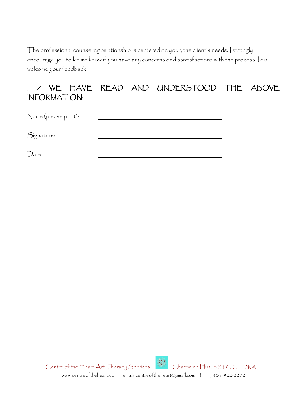The professional counseling relationship is centered on your, the client's needs. I strongly encourage you to let me know if you have any concerns or dissatisfactions with the process. I do welcome your feedback.

#### I / WE HAVE READ AND UNDERSTOOD THE ABOVE INFORMATION:

Name (please print):

Signature:

Date: